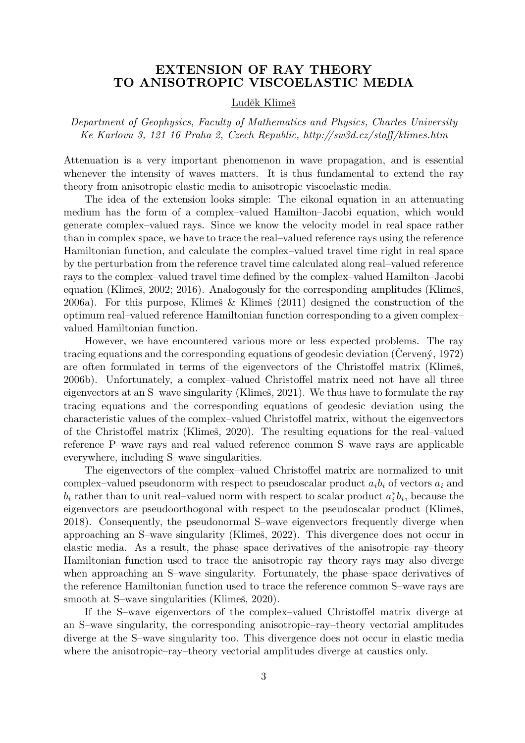## EXTENSION OF RAY THEORY TO ANISOTROPIC VISCOELASTIC MEDIA

## Luděk Klimeš

*Department of Geophysics, Faculty of Mathematics and Physics, Charles University Ke Karlovu 3, 121 16 Praha 2, Czech Republic, http://sw3d.cz/staff/klimes.htm*

Attenuation is a very important phenomenon in wave propagation, and is essential whenever the intensity of waves matters. It is thus fundamental to extend the ray theory from anisotropic elastic media to anisotropic viscoelastic media.

The idea of the extension looks simple: The eikonal equation in an attenuating medium has the form of a complex–valued Hamilton–Jacobi equation, which would generate complex–valued rays. Since we know the velocity model in real space rather than in complex space, we have to trace the real–valued reference rays using the reference Hamiltonian function, and calculate the complex–valued travel time right in real space by the perturbation from the reference travel time calculated along real–valued reference rays to the complex–valued travel time defined by the complex–valued Hamilton–Jacobi equation (Klimeš, 2002; 2016). Analogously for the corresponding amplitudes (Klimeš, 2006a). For this purpose, Klimeš  $\&$  Klimeš (2011) designed the construction of the optimum real–valued reference Hamiltonian function corresponding to a given complex– valued Hamiltonian function.

However, we have encountered various more or less expected problems. The ray tracing equations and the corresponding equations of geodesic deviation (Cerven $\dot{\gamma}$ , 1972) are often formulated in terms of the eigenvectors of the Christoffel matrix (Klimeš, 2006b). Unfortunately, a complex–valued Christoffel matrix need not have all three eigenvectors at an S–wave singularity (Klimeš, 2021). We thus have to formulate the ray tracing equations and the corresponding equations of geodesic deviation using the characteristic values of the complex–valued Christoffel matrix, without the eigenvectors of the Christoffel matrix (Klimeš, 2020). The resulting equations for the real–valued reference P–wave rays and real–valued reference common S–wave rays are applicable everywhere, including S–wave singularities.

The eigenvectors of the complex–valued Christoffel matrix are normalized to unit complex–valued pseudonorm with respect to pseudoscalar product  $a_i b_i$  of vectors  $a_i$  and  $b_i$  rather than to unit real–valued norm with respect to scalar product  $a_i^*b_i$ , because the eigenvectors are pseudoorthogonal with respect to the pseudoscalar product (Klimeš, 2018). Consequently, the pseudonormal S–wave eigenvectors frequently diverge when approaching an S–wave singularity (Klimeš, 2022). This divergence does not occur in elastic media. As a result, the phase–space derivatives of the anisotropic–ray–theory Hamiltonian function used to trace the anisotropic–ray–theory rays may also diverge when approaching an S–wave singularity. Fortunately, the phase–space derivatives of the reference Hamiltonian function used to trace the reference common S–wave rays are smooth at S–wave singularities (Klimeš, 2020).

If the S–wave eigenvectors of the complex–valued Christoffel matrix diverge at an S–wave singularity, the corresponding anisotropic–ray–theory vectorial amplitudes diverge at the S–wave singularity too. This divergence does not occur in elastic media where the anisotropic–ray–theory vectorial amplitudes diverge at caustics only.